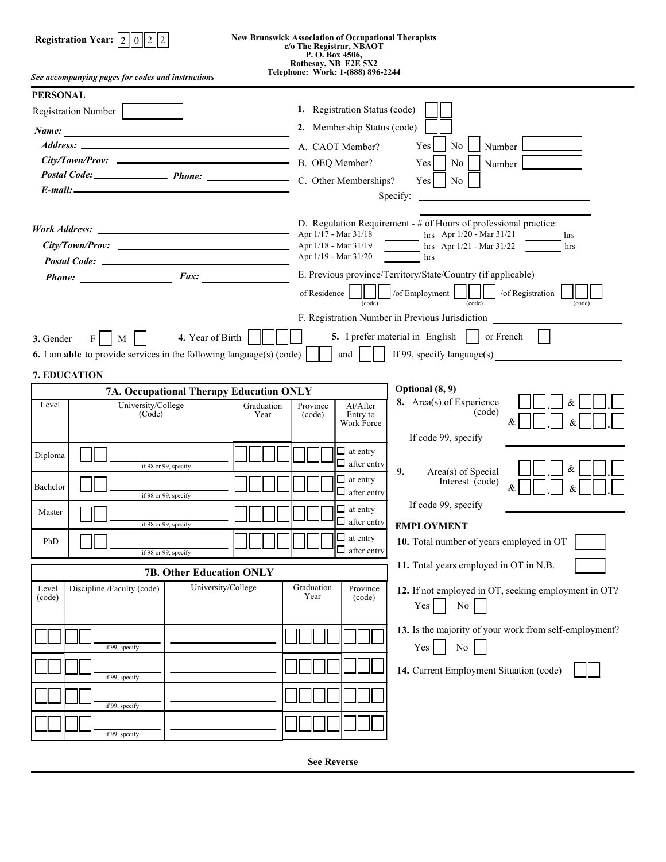| <b>New Brunswick Association of Occupational Therapists</b><br>Registration Year: $2    0    2$<br>c/o The Registrar, NBAOT<br>P. O. Box 4506,                                                                                                             |                                                                                                                                                                                                                                                                                                                                                                                                                                                                                                               |  |  |  |  |  |
|------------------------------------------------------------------------------------------------------------------------------------------------------------------------------------------------------------------------------------------------------------|---------------------------------------------------------------------------------------------------------------------------------------------------------------------------------------------------------------------------------------------------------------------------------------------------------------------------------------------------------------------------------------------------------------------------------------------------------------------------------------------------------------|--|--|--|--|--|
| Rothesay, NB E2E 5X2<br>Telephone: Work: 1-(888) 896-2244<br>See accompanying pages for codes and instructions                                                                                                                                             |                                                                                                                                                                                                                                                                                                                                                                                                                                                                                                               |  |  |  |  |  |
| <b>PERSONAL</b><br>Registration Number<br>Name:<br>Address: A. CAOT Member?<br>Postal Code: Phone: Phone: C. Other Memberships?<br>$E$ -mail: $\qquad \qquad$                                                                                              | 1. Registration Status (code)<br>2. Membership Status (code)<br>N <sub>o</sub><br>Number L<br>Yes<br>No<br>Yes<br>Number<br>N <sub>o</sub><br>Yes<br>Specify:                                                                                                                                                                                                                                                                                                                                                 |  |  |  |  |  |
| Postal Code: New York Code: New York Code: New York Code: New York Code: New York Code: New York Code: New York Code: New York Code: New York Code: New York Code: New York Code: New York Code: New York Code: New York Code:<br>$Phone:$ $Fax:$ $_{\_}$  | D. Regulation Requirement - # of Hours of professional practice:<br>hrs Apr $1/20$ - Mar $31/21$<br>Apr 1/17 - Mar 31/18<br>hrs<br>hrs Apr $1/21 - \text{Mar } 31/22$<br>Apr 1/18 - Mar 31/19<br>hrs<br>Apr 1/19 - Mar 31/20<br>hrs<br>E. Previous province/Territory/State/Country (if applicable)<br>$\parallel$ $\parallel$ $\parallel$ of Employment $\parallel$ $\parallel$ $\parallel$ of Registration<br>of Residence<br>(code)<br>(code)<br>(code)<br>F. Registration Number in Previous Jurisdiction |  |  |  |  |  |
| 5. I prefer material in English dor French<br>4. Year of Birth<br>3. Gender<br>F <sub>1</sub><br>M<br>If 99, specify language(s)<br>and $\vert$<br><b>6.</b> I am able to provide services in the following language(s) (code) $\ \cdot\ $<br>7. EDUCATION |                                                                                                                                                                                                                                                                                                                                                                                                                                                                                                               |  |  |  |  |  |
| 7A. Occupational Therapy Education ONLY<br>University/College<br>Level<br>Graduation<br>(Code)<br>Year                                                                                                                                                     | Optional (8, 9)<br>8. Area(s) of Experience<br>At/After<br>Province<br>(code)<br>Entry to<br>(code)<br>Work Force<br>If code 99, specify                                                                                                                                                                                                                                                                                                                                                                      |  |  |  |  |  |
| Diploma<br>if 98 or 99, specify<br>Bachelor<br>if 98 or 99, specify<br>Master<br>if 98 or 99, specify<br>PhD                                                                                                                                               | $\Box$ at entry<br>$\Box$ after entry<br>9.<br>Area(s) of Special<br>$\Box$ at entry<br>Interest (code)<br>$\Box$ after entry<br>If code 99, specify<br>$\Box$ at entry<br>$\Box$ after entry<br><b>EMPLOYMENT</b><br>$\Box$ at entry<br>10. Total number of years employed in OT                                                                                                                                                                                                                             |  |  |  |  |  |
| if 98 or 99, specify                                                                                                                                                                                                                                       | $\Box$ after entry<br>11. Total years employed in OT in N.B.                                                                                                                                                                                                                                                                                                                                                                                                                                                  |  |  |  |  |  |
| <b>7B. Other Education ONLY</b><br>University/College<br>Discipline /Faculty (code)<br>Level<br>(code)                                                                                                                                                     | Graduation<br>Province<br>12. If not employed in OT, seeking employment in OT?<br>Year<br>(code)<br>No.<br>Yes                                                                                                                                                                                                                                                                                                                                                                                                |  |  |  |  |  |
| if 99, specify<br>if 99, specify<br>if 99, specify                                                                                                                                                                                                         | 13. Is the majority of your work from self-employment?<br>No<br>Yes<br>14. Current Employment Situation (code)                                                                                                                                                                                                                                                                                                                                                                                                |  |  |  |  |  |
| if 99, specify                                                                                                                                                                                                                                             |                                                                                                                                                                                                                                                                                                                                                                                                                                                                                                               |  |  |  |  |  |

**See Reverse**